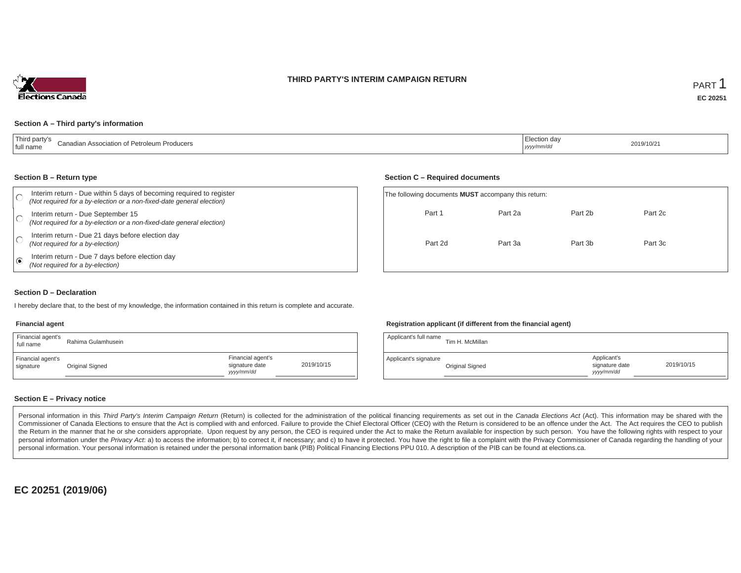### **THIRD PARTY'S INTERIM CAMPAIGN RETURN**



#### **Section A – Third party's information**

#### **Section B – Return type**

| Interim return - Due within 5 days of becoming required to register<br>(Not required for a by-election or a non-fixed-date general election) | The following documents <b>MUST</b> accompany this return: |         |         |         |  |
|----------------------------------------------------------------------------------------------------------------------------------------------|------------------------------------------------------------|---------|---------|---------|--|
| Interim return - Due September 15<br>(Not required for a by-election or a non-fixed-date general election)                                   | Part 1                                                     | Part 2a | Part 2b | Part 2c |  |
| Interim return - Due 21 days before election day<br>(Not required for a by-election)                                                         | Part 2d                                                    | Part 3a | Part 3b | Part 3c |  |
| Interim return - Due 7 days before election day<br>(Not required for a by-election)                                                          |                                                            |         |         |         |  |

#### **Section D – Declaration**

I hereby declare that, to the best of my knowledge, the information contained in this return is complete and accurate.

#### **Financial agent**

| Financial agent's<br>full name | Rahima Gulamhusein |                                                  |            |
|--------------------------------|--------------------|--------------------------------------------------|------------|
| Financial agent's<br>signature | Original Signed    | Financial agent's<br>signature date<br>vyy/mm/dd | 2019/10/15 |

#### **Registration applicant (if different from the financial agent)**

**Section C – Required documents**

| Applicant's full name | Tim H. McMillan |                                             |            |
|-----------------------|-----------------|---------------------------------------------|------------|
| Applicant's signature | Original Signed | Applicant's<br>signature date<br>yyyy/mm/dd | 2019/10/15 |

### **Section E – Privacy notice**

Personal information in this Third Party's Interim Campaign Return (Return) is collected for the administration of the political financing requirements as set out in the Canada Elections Act (Act). This information may be Commissioner of Canada Elections to ensure that the Act is complied with and enforced. Failure to provide the Chief Electoral Officer (CEO) with the Return is considered to be an offence under the Act. The Act requires the the Return in the manner that he or she considers appropriate. Upon request by any person, the CEO is required under the Act to make the Return available for inspection by such person. You have the following rights with re personal information under the Privacy Act. a) to access the information; b) to correct it, if necessary; and c) to have it protected. You have the right to file a complaint with the Privacy Commissioner of Canada regardin personal information. Your personal information is retained under the personal information bank (PIB) Political Financing Elections PPU 010. A description of the PIB can be found at elections.ca.

**EC 20251 (2019/06)**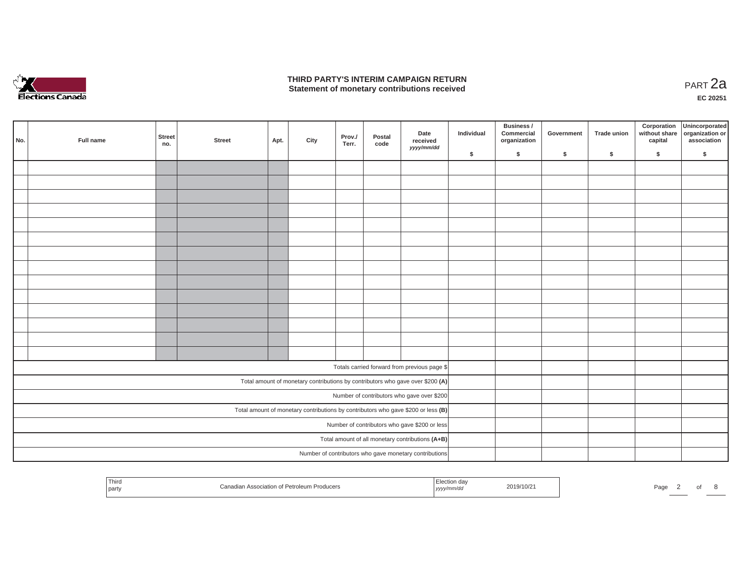

### **THIRD PARTY'S INTERIM CAMPAIGN RETURN THIRD PARTY'S INTERIM CAMPAIGN RETURN<br>Statement of monetary contributions received PART 2a**

| No. | Full name                                                                         | Street<br>no. | <b>Street</b> | Apt. | City | Prov./<br>Terr. | Postal<br>code | Date<br>received<br>yyyy/mm/dd                                                 | Individual | Business /<br>Commercial<br>organization | Government | Trade union | Corporation | Unincorporated<br>without share<br>capital dissociation or<br>association |
|-----|-----------------------------------------------------------------------------------|---------------|---------------|------|------|-----------------|----------------|--------------------------------------------------------------------------------|------------|------------------------------------------|------------|-------------|-------------|---------------------------------------------------------------------------|
|     |                                                                                   |               |               |      |      |                 |                |                                                                                | \$         | \$                                       | $\sqrt{2}$ | $\sqrt{2}$  | \$          | \$                                                                        |
|     |                                                                                   |               |               |      |      |                 |                |                                                                                |            |                                          |            |             |             |                                                                           |
|     |                                                                                   |               |               |      |      |                 |                |                                                                                |            |                                          |            |             |             |                                                                           |
|     |                                                                                   |               |               |      |      |                 |                |                                                                                |            |                                          |            |             |             |                                                                           |
|     |                                                                                   |               |               |      |      |                 |                |                                                                                |            |                                          |            |             |             |                                                                           |
|     |                                                                                   |               |               |      |      |                 |                |                                                                                |            |                                          |            |             |             |                                                                           |
|     |                                                                                   |               |               |      |      |                 |                |                                                                                |            |                                          |            |             |             |                                                                           |
|     |                                                                                   |               |               |      |      |                 |                |                                                                                |            |                                          |            |             |             |                                                                           |
|     |                                                                                   |               |               |      |      |                 |                |                                                                                |            |                                          |            |             |             |                                                                           |
|     |                                                                                   |               |               |      |      |                 |                |                                                                                |            |                                          |            |             |             |                                                                           |
|     |                                                                                   |               |               |      |      |                 |                |                                                                                |            |                                          |            |             |             |                                                                           |
|     |                                                                                   |               |               |      |      |                 |                |                                                                                |            |                                          |            |             |             |                                                                           |
|     |                                                                                   |               |               |      |      |                 |                |                                                                                |            |                                          |            |             |             |                                                                           |
|     |                                                                                   |               |               |      |      |                 |                |                                                                                |            |                                          |            |             |             |                                                                           |
|     |                                                                                   |               |               |      |      |                 |                |                                                                                |            |                                          |            |             |             |                                                                           |
|     |                                                                                   |               |               |      |      |                 |                |                                                                                |            |                                          |            |             |             |                                                                           |
|     |                                                                                   |               |               |      |      |                 |                | Totals carried forward from previous page \$                                   |            |                                          |            |             |             |                                                                           |
|     |                                                                                   |               |               |      |      |                 |                | Total amount of monetary contributions by contributors who gave over \$200 (A) |            |                                          |            |             |             |                                                                           |
|     | Number of contributors who gave over \$200                                        |               |               |      |      |                 |                |                                                                                |            |                                          |            |             |             |                                                                           |
|     | Total amount of monetary contributions by contributors who gave \$200 or less (B) |               |               |      |      |                 |                |                                                                                |            |                                          |            |             |             |                                                                           |
|     | Number of contributors who gave \$200 or less                                     |               |               |      |      |                 |                |                                                                                |            |                                          |            |             |             |                                                                           |
|     |                                                                                   |               |               |      |      |                 |                | Total amount of all monetary contributions (A+B)                               |            |                                          |            |             |             |                                                                           |
|     |                                                                                   |               |               |      |      |                 |                | Number of contributors who gave monetary contributions                         |            |                                          |            |             |             |                                                                           |

| Third<br>Canadian Association of Petroleum Producers<br>  part | Election day<br>2019/10/21<br>$\cdots$<br>, yyyy/mm/dd | Page |
|----------------------------------------------------------------|--------------------------------------------------------|------|
|----------------------------------------------------------------|--------------------------------------------------------|------|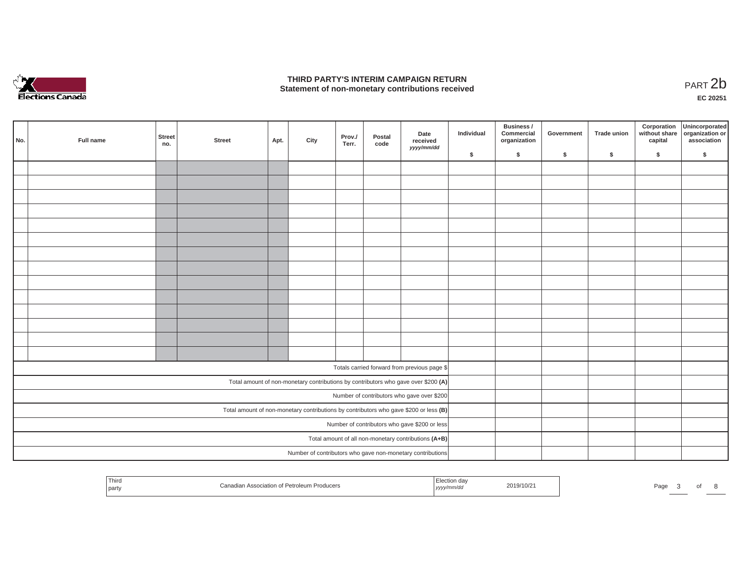

## **THIRD PARTY'S INTERIM CAMPAIGN RETURN**  THIRD PARTY'S INTERIM CAMPAIGN RETURN<br>Statement of non-monetary contributions received<br>**PART 2**b

**EC 20251**

|                                               | No.                                                                                   | Full name | Street<br>no. | <b>Street</b> | Apt. | City | Prov./<br>Terr. | Postal<br>code | Date<br>received<br>yyyy/mm/dd                                                     | Individual | Business /<br>Commercial<br>organization | Government | Trade union | Corporation<br>capital | Unincorporated<br>without share organization or<br>association |
|-----------------------------------------------|---------------------------------------------------------------------------------------|-----------|---------------|---------------|------|------|-----------------|----------------|------------------------------------------------------------------------------------|------------|------------------------------------------|------------|-------------|------------------------|----------------------------------------------------------------|
|                                               |                                                                                       |           |               |               |      |      |                 |                |                                                                                    | \$         | $\mathsf{s}$                             | \$         | $\sqrt{2}$  | \$                     | \$                                                             |
|                                               |                                                                                       |           |               |               |      |      |                 |                |                                                                                    |            |                                          |            |             |                        |                                                                |
|                                               |                                                                                       |           |               |               |      |      |                 |                |                                                                                    |            |                                          |            |             |                        |                                                                |
|                                               |                                                                                       |           |               |               |      |      |                 |                |                                                                                    |            |                                          |            |             |                        |                                                                |
|                                               |                                                                                       |           |               |               |      |      |                 |                |                                                                                    |            |                                          |            |             |                        |                                                                |
|                                               |                                                                                       |           |               |               |      |      |                 |                |                                                                                    |            |                                          |            |             |                        |                                                                |
|                                               |                                                                                       |           |               |               |      |      |                 |                |                                                                                    |            |                                          |            |             |                        |                                                                |
|                                               |                                                                                       |           |               |               |      |      |                 |                |                                                                                    |            |                                          |            |             |                        |                                                                |
|                                               |                                                                                       |           |               |               |      |      |                 |                |                                                                                    |            |                                          |            |             |                        |                                                                |
|                                               |                                                                                       |           |               |               |      |      |                 |                |                                                                                    |            |                                          |            |             |                        |                                                                |
|                                               |                                                                                       |           |               |               |      |      |                 |                |                                                                                    |            |                                          |            |             |                        |                                                                |
|                                               |                                                                                       |           |               |               |      |      |                 |                |                                                                                    |            |                                          |            |             |                        |                                                                |
|                                               |                                                                                       |           |               |               |      |      |                 |                |                                                                                    |            |                                          |            |             |                        |                                                                |
|                                               |                                                                                       |           |               |               |      |      |                 |                |                                                                                    |            |                                          |            |             |                        |                                                                |
|                                               |                                                                                       |           |               |               |      |      |                 |                |                                                                                    |            |                                          |            |             |                        |                                                                |
|                                               |                                                                                       |           |               |               |      |      |                 |                |                                                                                    |            |                                          |            |             |                        |                                                                |
|                                               |                                                                                       |           |               |               |      |      |                 |                | Totals carried forward from previous page \$                                       |            |                                          |            |             |                        |                                                                |
|                                               |                                                                                       |           |               |               |      |      |                 |                | Total amount of non-monetary contributions by contributors who gave over \$200 (A) |            |                                          |            |             |                        |                                                                |
|                                               | Number of contributors who gave over \$200                                            |           |               |               |      |      |                 |                |                                                                                    |            |                                          |            |             |                        |                                                                |
|                                               | Total amount of non-monetary contributions by contributors who gave \$200 or less (B) |           |               |               |      |      |                 |                |                                                                                    |            |                                          |            |             |                        |                                                                |
| Number of contributors who gave \$200 or less |                                                                                       |           |               |               |      |      |                 |                |                                                                                    |            |                                          |            |             |                        |                                                                |
|                                               |                                                                                       |           |               |               |      |      |                 |                | Total amount of all non-monetary contributions (A+B)                               |            |                                          |            |             |                        |                                                                |
|                                               |                                                                                       |           |               |               |      |      |                 |                | Number of contributors who gave non-monetary contributions                         |            |                                          |            |             |                        |                                                                |
|                                               |                                                                                       |           |               |               |      |      |                 |                |                                                                                    |            |                                          |            |             |                        |                                                                |

| <sup>1</sup> Third<br>n Association of Petroleum Producers<br>part | 2019/10/21<br>$\cdots$<br>, yyyy/rr | Page |
|--------------------------------------------------------------------|-------------------------------------|------|
|--------------------------------------------------------------------|-------------------------------------|------|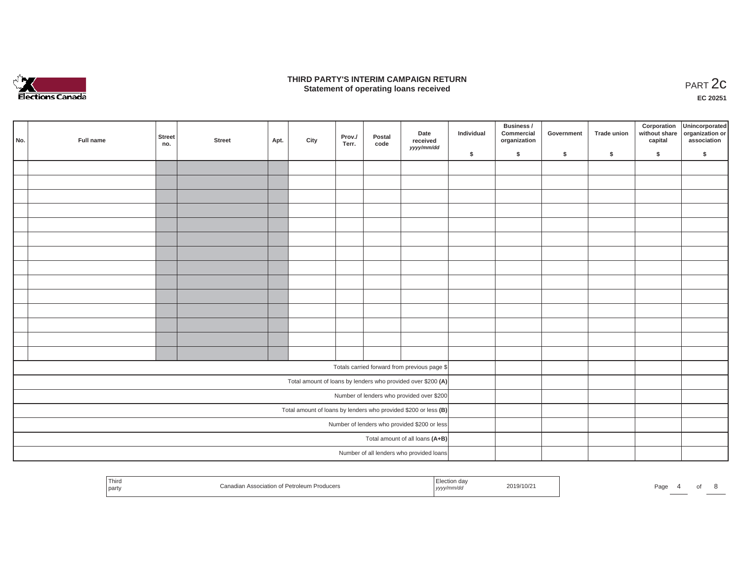

### **THIRD PARTY'S INTERIM CAMPAIGN RETURN**  RD PARTY'S INTERIM CAMPAIGN RETURN<br>Statement of operating loans received **PART 2c**

**EC 20251**

| No. | Full name                                                       | <b>Street</b><br>no.                     | <b>Street</b> | Apt. | City | Prov./<br>Terr. | Postal<br>code | Date<br>received<br>yyyy/mm/dd                               | Individual | Business /<br>Commercial<br>organization | Government | Trade union | Corporation<br>capital | Unincorporated<br>without share organization or<br>association |
|-----|-----------------------------------------------------------------|------------------------------------------|---------------|------|------|-----------------|----------------|--------------------------------------------------------------|------------|------------------------------------------|------------|-------------|------------------------|----------------------------------------------------------------|
|     |                                                                 |                                          |               |      |      |                 |                |                                                              | \$         | \$                                       | \$         | \$          | \$                     | \$                                                             |
|     |                                                                 |                                          |               |      |      |                 |                |                                                              |            |                                          |            |             |                        |                                                                |
|     |                                                                 |                                          |               |      |      |                 |                |                                                              |            |                                          |            |             |                        |                                                                |
|     |                                                                 |                                          |               |      |      |                 |                |                                                              |            |                                          |            |             |                        |                                                                |
|     |                                                                 |                                          |               |      |      |                 |                |                                                              |            |                                          |            |             |                        |                                                                |
|     |                                                                 |                                          |               |      |      |                 |                |                                                              |            |                                          |            |             |                        |                                                                |
|     |                                                                 |                                          |               |      |      |                 |                |                                                              |            |                                          |            |             |                        |                                                                |
|     |                                                                 |                                          |               |      |      |                 |                |                                                              |            |                                          |            |             |                        |                                                                |
|     |                                                                 |                                          |               |      |      |                 |                |                                                              |            |                                          |            |             |                        |                                                                |
|     |                                                                 |                                          |               |      |      |                 |                |                                                              |            |                                          |            |             |                        |                                                                |
|     |                                                                 |                                          |               |      |      |                 |                |                                                              |            |                                          |            |             |                        |                                                                |
|     |                                                                 |                                          |               |      |      |                 |                |                                                              |            |                                          |            |             |                        |                                                                |
|     |                                                                 |                                          |               |      |      |                 |                |                                                              |            |                                          |            |             |                        |                                                                |
|     |                                                                 |                                          |               |      |      |                 |                |                                                              |            |                                          |            |             |                        |                                                                |
|     |                                                                 |                                          |               |      |      |                 |                |                                                              |            |                                          |            |             |                        |                                                                |
|     |                                                                 |                                          |               |      |      |                 |                | Totals carried forward from previous page \$                 |            |                                          |            |             |                        |                                                                |
|     |                                                                 |                                          |               |      |      |                 |                | Total amount of loans by lenders who provided over \$200 (A) |            |                                          |            |             |                        |                                                                |
|     |                                                                 |                                          |               |      |      |                 |                | Number of lenders who provided over \$200                    |            |                                          |            |             |                        |                                                                |
|     | Total amount of loans by lenders who provided \$200 or less (B) |                                          |               |      |      |                 |                |                                                              |            |                                          |            |             |                        |                                                                |
|     | Number of lenders who provided \$200 or less                    |                                          |               |      |      |                 |                |                                                              |            |                                          |            |             |                        |                                                                |
|     |                                                                 |                                          |               |      |      |                 |                | Total amount of all loans (A+B)                              |            |                                          |            |             |                        |                                                                |
|     |                                                                 | Number of all lenders who provided loans |               |      |      |                 |                |                                                              |            |                                          |            |             |                        |                                                                |

| Third<br>.<br>party | nf Petroleum<br>า Producers<br>∩anadia.<br>⊥ Association of F | $\sim$<br>,,,, | 2019/10/2 | Page |  |  |
|---------------------|---------------------------------------------------------------|----------------|-----------|------|--|--|
|                     |                                                               |                |           |      |  |  |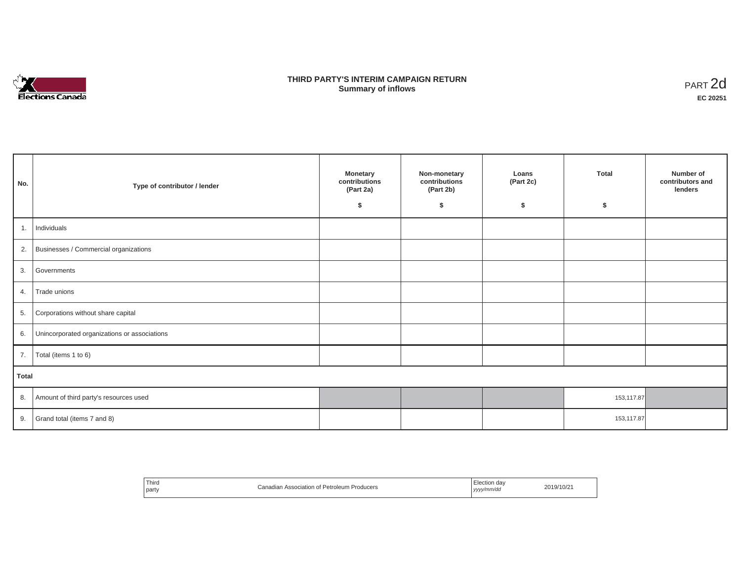

## **THIRD PARTY'S INTERIM CAMPAIGN RETURN SUMMARY STATE SUMMARY OF A SUMMARY OF A SUMMARY OF A SUMMARY OF A SUMMARY OF A SUMMARY OF A SUMMARY OF A SUMMA**<br> **Summary of inflows**

| No.          | Type of contributor / lender                 | <b>Monetary</b><br>contributions<br>(Part 2a)<br>\$ | Non-monetary<br>contributions<br>(Part 2b)<br>s. | Loans<br>(Part 2c)<br>\$ | <b>Total</b><br>\$ | Number of<br>contributors and<br>lenders |  |  |
|--------------|----------------------------------------------|-----------------------------------------------------|--------------------------------------------------|--------------------------|--------------------|------------------------------------------|--|--|
| 1.           | Individuals                                  |                                                     |                                                  |                          |                    |                                          |  |  |
|              | 2. Businesses / Commercial organizations     |                                                     |                                                  |                          |                    |                                          |  |  |
| 3.           | Governments                                  |                                                     |                                                  |                          |                    |                                          |  |  |
| 4.           | Trade unions                                 |                                                     |                                                  |                          |                    |                                          |  |  |
| 5.           | Corporations without share capital           |                                                     |                                                  |                          |                    |                                          |  |  |
| 6.           | Unincorporated organizations or associations |                                                     |                                                  |                          |                    |                                          |  |  |
| 7.           | Total (items 1 to 6)                         |                                                     |                                                  |                          |                    |                                          |  |  |
| <b>Total</b> |                                              |                                                     |                                                  |                          |                    |                                          |  |  |
| 8.           | Amount of third party's resources used       |                                                     |                                                  |                          | 153,117.87         |                                          |  |  |
| 9.           | Grand total (items 7 and 8)                  |                                                     |                                                  |                          | 153,117.87         |                                          |  |  |

| <sup>'</sup> Third<br>Canadian Association of Petroleum F<br>Producers<br>party | Flection day<br>2019/10/21<br>yyyy/mm/da<br>,,,,<br>. |
|---------------------------------------------------------------------------------|-------------------------------------------------------|
|---------------------------------------------------------------------------------|-------------------------------------------------------|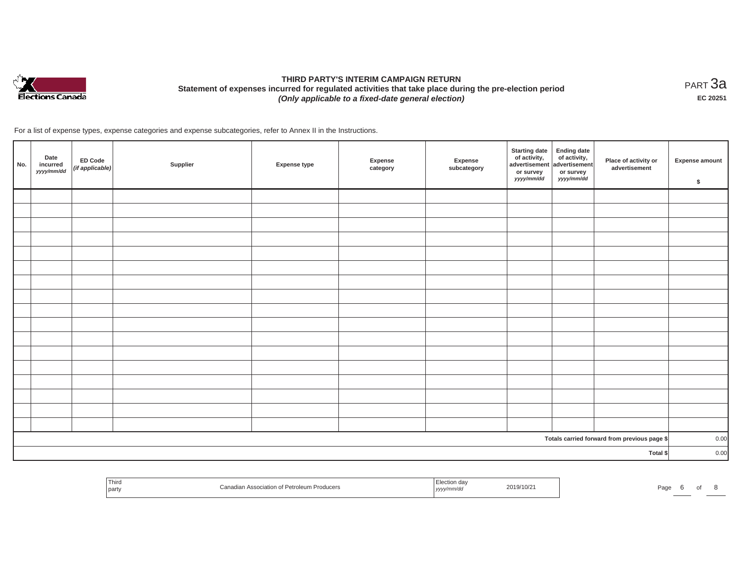

# **THIRD PARTY'S INTERIM CAMPAIGN RETURN Statement of expenses incurred for regulated activities that take place during the pre-election period**  *(Only applicable to a fixed-date general election)*

<code>PART $3$ a</code> **EC 20251**

For a list of expense types, expense categories and expense subcategories, refer to Annex II in the Instructions.

| No.                                          | Date<br>incurred<br>yyyy/mm/dd | ED Code<br>(if applicable) | Supplier | Expense type | Expense<br>category | Expense<br>subcategory | <b>Starting date</b><br>of activity, $\left  \begin{array}{c} \text{of activity,} \\ \text{advertisement} \end{array} \right $<br>or survey<br>yyyy/mm/dd | <b>Ending date</b><br>or survey<br>yyyy/mm/dd | Place of activity or<br>advertisement | <b>Expense amount</b><br>\$ |
|----------------------------------------------|--------------------------------|----------------------------|----------|--------------|---------------------|------------------------|-----------------------------------------------------------------------------------------------------------------------------------------------------------|-----------------------------------------------|---------------------------------------|-----------------------------|
|                                              |                                |                            |          |              |                     |                        |                                                                                                                                                           |                                               |                                       |                             |
|                                              |                                |                            |          |              |                     |                        |                                                                                                                                                           |                                               |                                       |                             |
|                                              |                                |                            |          |              |                     |                        |                                                                                                                                                           |                                               |                                       |                             |
|                                              |                                |                            |          |              |                     |                        |                                                                                                                                                           |                                               |                                       |                             |
|                                              |                                |                            |          |              |                     |                        |                                                                                                                                                           |                                               |                                       |                             |
|                                              |                                |                            |          |              |                     |                        |                                                                                                                                                           |                                               |                                       |                             |
|                                              |                                |                            |          |              |                     |                        |                                                                                                                                                           |                                               |                                       |                             |
|                                              |                                |                            |          |              |                     |                        |                                                                                                                                                           |                                               |                                       |                             |
|                                              |                                |                            |          |              |                     |                        |                                                                                                                                                           |                                               |                                       |                             |
|                                              |                                |                            |          |              |                     |                        |                                                                                                                                                           |                                               |                                       |                             |
|                                              |                                |                            |          |              |                     |                        |                                                                                                                                                           |                                               |                                       |                             |
|                                              |                                |                            |          |              |                     |                        |                                                                                                                                                           |                                               |                                       |                             |
|                                              |                                |                            |          |              |                     |                        |                                                                                                                                                           |                                               |                                       |                             |
|                                              |                                |                            |          |              |                     |                        |                                                                                                                                                           |                                               |                                       |                             |
|                                              |                                |                            |          |              |                     |                        |                                                                                                                                                           |                                               |                                       |                             |
|                                              |                                |                            |          |              |                     |                        |                                                                                                                                                           |                                               |                                       |                             |
|                                              |                                |                            |          |              |                     |                        |                                                                                                                                                           |                                               |                                       |                             |
| Totals carried forward from previous page \$ |                                |                            |          |              |                     | 0.00                   |                                                                                                                                                           |                                               |                                       |                             |
| Total \$                                     |                                |                            |          |              |                     |                        |                                                                                                                                                           |                                               |                                       | 0.00                        |

| ! Thiro<br>ciation of<br><b>Producers</b><br>  party<br>.77117111 | ,,,,,,,<br>unvac,<br>, уууу/ | au<br>$\cdot$ |
|-------------------------------------------------------------------|------------------------------|---------------|
|-------------------------------------------------------------------|------------------------------|---------------|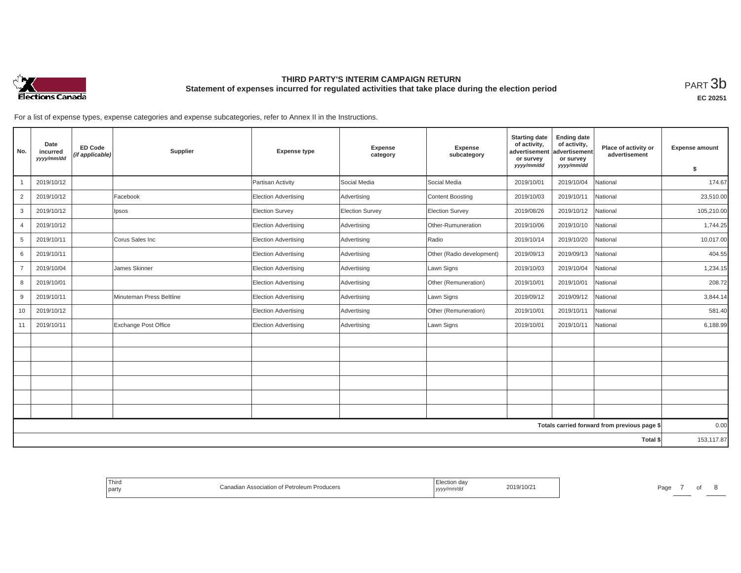

## **THIRD PARTY'S INTERIM CAMPAIGN RETURN Statement of expenses incurred for regulated activities that take place during the election period**<br>РАRТ  $3\mathrm{b}$

**EC 20251**

For a list of expense types, expense categories and expense subcategories, refer to Annex II in the Instructions.

| No.            | Date<br>incurred<br>yyyy/mm/dd | <b>ED Code</b><br>(if applicable) | Supplier                    | <b>Expense type</b>         | Expense<br>category | Expense<br>subcategory    | <b>Starting date</b><br>of activity,<br>advertisement<br>or survey<br>yyyy/mm/dd | <b>Ending date</b><br>of activity,<br>advertisement<br>or survey<br>yyyy/mm/dd | Place of activity or<br>advertisement        | <b>Expense amount</b><br>s. |
|----------------|--------------------------------|-----------------------------------|-----------------------------|-----------------------------|---------------------|---------------------------|----------------------------------------------------------------------------------|--------------------------------------------------------------------------------|----------------------------------------------|-----------------------------|
|                | 2019/10/12                     |                                   |                             | Partisan Activity           | Social Media        | Social Media              | 2019/10/01                                                                       | 2019/10/04                                                                     | National                                     | 174.67                      |
| 2              | 2019/10/12                     |                                   | Facebook                    | <b>Election Advertising</b> | Advertising         | <b>Content Boosting</b>   | 2019/10/03                                                                       | 2019/10/11                                                                     | National                                     | 23,510.00                   |
| 3              | 2019/10/12                     |                                   | Ipsos                       | Election Survey             | Election Survey     | <b>Election Survey</b>    | 2019/08/26                                                                       | 2019/10/12                                                                     | National                                     | 105,210.00                  |
| 4              | 2019/10/12                     |                                   |                             | <b>Election Advertising</b> | Advertising         | Other-Rumuneration        | 2019/10/06                                                                       | 2019/10/10                                                                     | National                                     | 1,744.25                    |
| 5              | 2019/10/11                     |                                   | Corus Sales Inc             | <b>Election Advertising</b> | Advertising         | Radio                     | 2019/10/14                                                                       | 2019/10/20                                                                     | National                                     | 10,017.00                   |
| 6              | 2019/10/11                     |                                   |                             | Election Advertising        | Advertising         | Other (Radio development) | 2019/09/13                                                                       | 2019/09/13                                                                     | National                                     | 404.55                      |
| $\overline{7}$ | 2019/10/04                     |                                   | James Skinner               | <b>Election Advertising</b> | Advertising         | Lawn Signs                | 2019/10/03                                                                       | 2019/10/04                                                                     | National                                     | 1,234.15                    |
| 8              | 2019/10/01                     |                                   |                             | <b>Election Advertising</b> | Advertising         | Other (Remuneration)      | 2019/10/01                                                                       | 2019/10/01                                                                     | National                                     | 208.72                      |
| 9              | 2019/10/11                     |                                   | Minuteman Press Beltline    | <b>Election Advertising</b> | Advertising         | Lawn Signs                | 2019/09/12                                                                       | 2019/09/12                                                                     | National                                     | 3,844.14                    |
| 10             | 2019/10/12                     |                                   |                             | <b>Election Advertising</b> | Advertising         | Other (Remuneration)      | 2019/10/01                                                                       | 2019/10/11                                                                     | National                                     | 581.40                      |
| 11             | 2019/10/11                     |                                   | <b>Exchange Post Office</b> | Election Advertising        | Advertising         | Lawn Signs                | 2019/10/01                                                                       | 2019/10/11                                                                     | National                                     | 6,188.99                    |
|                |                                |                                   |                             |                             |                     |                           |                                                                                  |                                                                                |                                              |                             |
|                |                                |                                   |                             |                             |                     |                           |                                                                                  |                                                                                |                                              |                             |
|                |                                |                                   |                             |                             |                     |                           |                                                                                  |                                                                                |                                              |                             |
|                |                                |                                   |                             |                             |                     |                           |                                                                                  |                                                                                |                                              |                             |
|                |                                |                                   |                             |                             |                     |                           |                                                                                  |                                                                                |                                              |                             |
|                |                                |                                   |                             |                             |                     |                           |                                                                                  |                                                                                |                                              |                             |
|                |                                |                                   |                             |                             |                     |                           |                                                                                  |                                                                                | Totals carried forward from previous page \$ | 0.00                        |
|                |                                |                                   |                             |                             |                     |                           |                                                                                  |                                                                                | Total \$                                     | 153,117.87                  |

| Third<br>Canadian Association of Petroleum Producers<br>the control of the con-<br>party | ∃lection da<br>2019/10/21<br>, yyyy/mm/dd | Page |
|------------------------------------------------------------------------------------------|-------------------------------------------|------|
|------------------------------------------------------------------------------------------|-------------------------------------------|------|